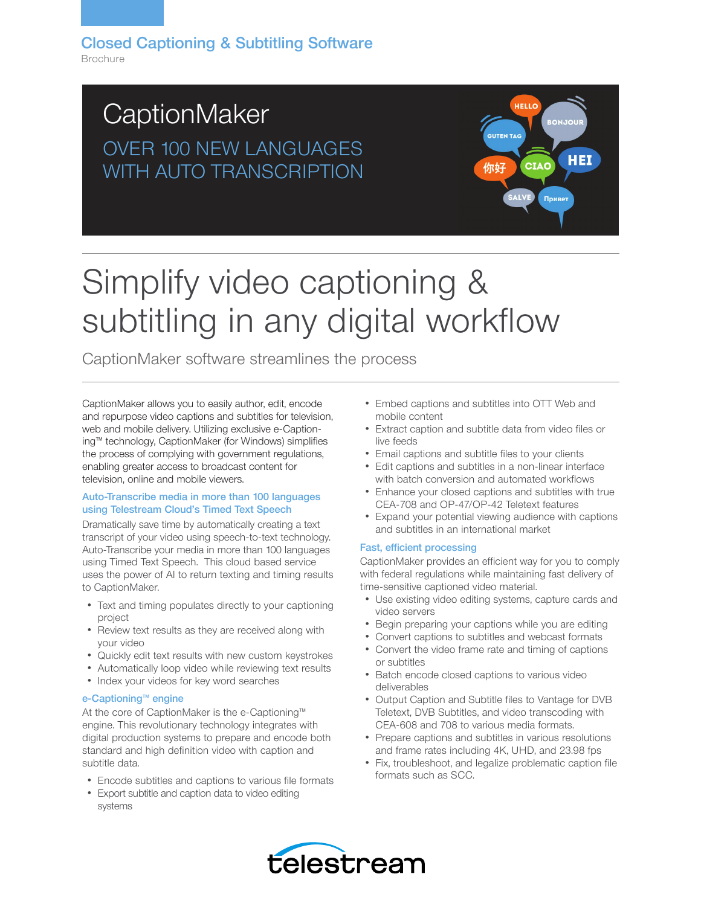## **CaptionMaker** OVER 100 NEW LANGUAGES WITH AUTO TRANSCRIPTION

## **HELL BONJOU GUTEN TAG HEI** 你好 Привет

# Simplify video captioning & subtitling in any digital workflow

CaptionMaker software streamlines the process

CaptionMaker allows you to easily author, edit, encode and repurpose video captions and subtitles for television, web and mobile delivery. Utilizing exclusive e-Captioning™ technology, CaptionMaker (for Windows) simplifies the process of complying with government regulations, enabling greater access to broadcast content for television, online and mobile viewers.

#### Auto-Transcribe media in more than 100 languages using Telestream Cloud's Timed Text Speech

Dramatically save time by automatically creating a text transcript of your video using speech-to-text technology. Auto-Transcribe your media in more than 100 languages using Timed Text Speech. This cloud based service uses the power of AI to return texting and timing results to CaptionMaker.

- Text and timing populates directly to your captioning project
- Review text results as they are received along with your video
- Quickly edit text results with new custom keystrokes
- Automatically loop video while reviewing text results
- Index your videos for key word searches

#### e-Captioning™ engine

At the core of CaptionMaker is the e-Captioning™ engine. This revolutionary technology integrates with digital production systems to prepare and encode both standard and high definition video with caption and subtitle data.

- Encode subtitles and captions to various file formats
- Export subtitle and caption data to video editing systems
- Embed captions and subtitles into OTT Web and mobile content
- Extract caption and subtitle data from video files or live feeds
- Email captions and subtitle files to your clients
- Edit captions and subtitles in a non-linear interface with batch conversion and automated workflows
- Enhance your closed captions and subtitles with true CEA-708 and OP-47/OP-42 Teletext features
- Expand your potential viewing audience with captions and subtitles in an international market

#### Fast, efficient processing

CaptionMaker provides an efficient way for you to comply with federal regulations while maintaining fast delivery of time-sensitive captioned video material.

- Use existing video editing systems, capture cards and video servers
- Begin preparing your captions while you are editing
- Convert captions to subtitles and webcast formats
- Convert the video frame rate and timing of captions or subtitles
- Batch encode closed captions to various video deliverables
- Output Caption and Subtitle files to Vantage for DVB Teletext, DVB Subtitles, and video transcoding with CEA-608 and 708 to various media formats.
- Prepare captions and subtitles in various resolutions and frame rates including 4K, UHD, and 23.98 fps
- Fix, troubleshoot, and legalize problematic caption file formats such as SCC.

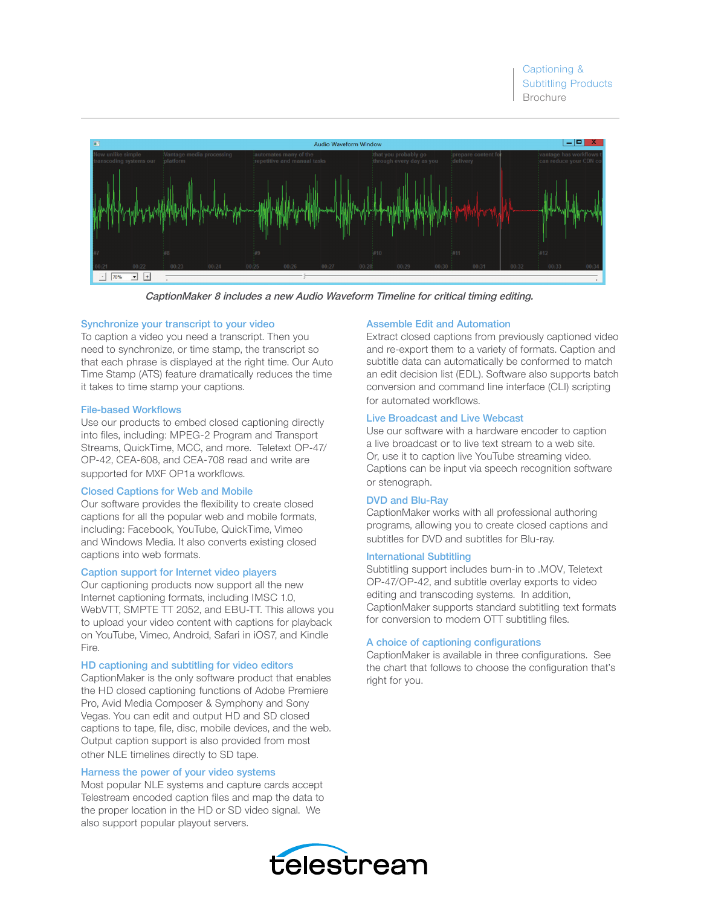

CaptionMaker 8 includes a new Audio Waveform Timeline for critical timing editing.

#### Synchronize your transcript to your video

To caption a video you need a transcript. Then you need to synchronize, or time stamp, the transcript so that each phrase is displayed at the right time. Our Auto Time Stamp (ATS) feature dramatically reduces the time it takes to time stamp your captions.

#### File-based Workflows

Use our products to embed closed captioning directly into files, including: MPEG-2 Program and Transport Streams, QuickTime, MCC, and more. Teletext OP-47/ OP-42, CEA-608, and CEA-708 read and write are supported for MXF OP1a workflows.

#### Closed Captions for Web and Mobile

Our software provides the flexibility to create closed captions for all the popular web and mobile formats, including: Facebook, YouTube, QuickTime, Vimeo and Windows Media. It also converts existing closed captions into web formats.

#### Caption support for Internet video players

Our captioning products now support all the new Internet captioning formats, including IMSC 1.0, WebVTT, SMPTE TT 2052, and EBU-TT. This allows you to upload your video content with captions for playback on YouTube, Vimeo, Android, Safari in iOS7, and Kindle Fire.

#### HD captioning and subtitling for video editors

CaptionMaker is the only software product that enables the HD closed captioning functions of Adobe Premiere Pro, Avid Media Composer & Symphony and Sony Vegas. You can edit and output HD and SD closed captions to tape, file, disc, mobile devices, and the web. Output caption support is also provided from most other NLE timelines directly to SD tape.

#### Harness the power of your video systems

Most popular NLE systems and capture cards accept Telestream encoded caption files and map the data to the proper location in the HD or SD video signal. We also support popular playout servers.

#### Assemble Edit and Automation

Extract closed captions from previously captioned video and re-export them to a variety of formats. Caption and subtitle data can automatically be conformed to match an edit decision list (EDL). Software also supports batch conversion and command line interface (CLI) scripting for automated workflows.

#### Live Broadcast and Live Webcast

Use our software with a hardware encoder to caption a live broadcast or to live text stream to a web site. Or, use it to caption live YouTube streaming video. Captions can be input via speech recognition software or stenograph.

#### DVD and Blu-Ray

CaptionMaker works with all professional authoring programs, allowing you to create closed captions and subtitles for DVD and subtitles for Blu-ray.

#### International Subtitling

Subtitling support includes burn-in to .MOV, Teletext OP-47/OP-42, and subtitle overlay exports to video editing and transcoding systems. In addition, CaptionMaker supports standard subtitling text formats for conversion to modern OTT subtitling files.

#### A choice of captioning configurations

CaptionMaker is available in three configurations. See the chart that follows to choose the configuration that's right for you.

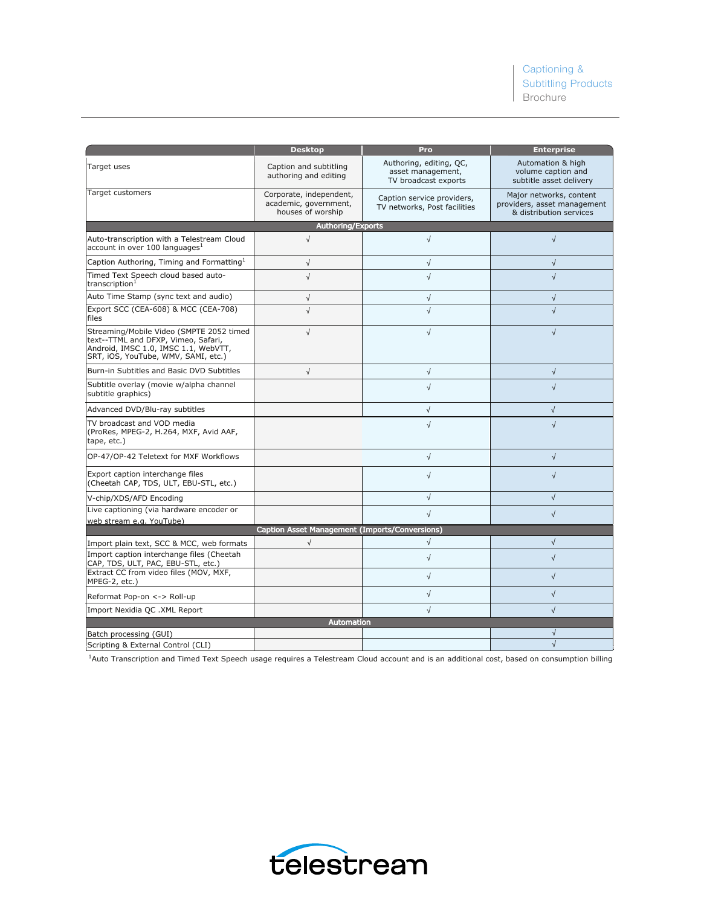|                                                                                                                                                                | <b>Desktop</b>                                                        | Pro                                                                  | <b>Enterprise</b>                                                                 |  |
|----------------------------------------------------------------------------------------------------------------------------------------------------------------|-----------------------------------------------------------------------|----------------------------------------------------------------------|-----------------------------------------------------------------------------------|--|
| Target uses                                                                                                                                                    | Caption and subtitling<br>authoring and editing                       | Authoring, editing, QC,<br>asset management,<br>TV broadcast exports | Automation & high<br>volume caption and<br>subtitle asset delivery                |  |
| Target customers                                                                                                                                               | Corporate, independent,<br>academic, government,<br>houses of worship | Caption service providers,<br>TV networks, Post facilities           | Major networks, content<br>providers, asset management<br>& distribution services |  |
| <b>Authoring/Exports</b>                                                                                                                                       |                                                                       |                                                                      |                                                                                   |  |
| Auto-transcription with a Telestream Cloud<br>account in over 100 languages <sup>1</sup>                                                                       | $\sqrt{ }$                                                            | $\sqrt{ }$                                                           | $\sqrt{ }$                                                                        |  |
| Caption Authoring, Timing and Formatting <sup>1</sup>                                                                                                          | $\sqrt{}$                                                             | √                                                                    | $\sqrt{ }$                                                                        |  |
| Timed Text Speech cloud based auto-<br>transcription <sup>1</sup>                                                                                              | $\sqrt{ }$                                                            | $\sqrt{2}$                                                           | $\sqrt{ }$                                                                        |  |
| Auto Time Stamp (sync text and audio)                                                                                                                          | $\sqrt{}$                                                             | √                                                                    | $\sqrt{ }$                                                                        |  |
| Export SCC (CEA-608) & MCC (CEA-708)<br>files                                                                                                                  | $\sqrt{2}$                                                            | $\sqrt{2}$                                                           | $\sqrt{ }$                                                                        |  |
| Streaming/Mobile Video (SMPTE 2052 timed<br>text--TTML and DFXP, Vimeo, Safari,<br>Android, IMSC 1.0, IMSC 1.1, WebVTT,<br>SRT, iOS, YouTube, WMV, SAMI, etc.) | $\sqrt{ }$                                                            | √                                                                    | $\sqrt{ }$                                                                        |  |
| Burn-in Subtitles and Basic DVD Subtitles                                                                                                                      | $\sqrt{ }$                                                            | $\sqrt{ }$                                                           | $\sqrt{ }$                                                                        |  |
| Subtitle overlay (movie w/alpha channel<br>subtitle graphics)                                                                                                  |                                                                       | $\sqrt{ }$                                                           | $\sqrt{ }$                                                                        |  |
| Advanced DVD/Blu-ray subtitles                                                                                                                                 |                                                                       | $\sqrt{}$                                                            | $\sqrt{}$                                                                         |  |
| TV broadcast and VOD media<br>(ProRes, MPEG-2, H.264, MXF, Avid AAF,<br>tape, etc.)                                                                            |                                                                       | $\sqrt{ }$                                                           | $\sqrt{ }$                                                                        |  |
| OP-47/OP-42 Teletext for MXF Workflows                                                                                                                         |                                                                       | $\sqrt{}$                                                            | $\sqrt{ }$                                                                        |  |
| Export caption interchange files<br>(Cheetah CAP, TDS, ULT, EBU-STL, etc.)                                                                                     |                                                                       | $\sqrt{ }$                                                           | $\sqrt{2}$                                                                        |  |
| V-chip/XDS/AFD Encoding                                                                                                                                        |                                                                       | $\sqrt{}$                                                            | $\sqrt{}$                                                                         |  |
| Live captioning (via hardware encoder or<br>web stream e.g. YouTube)                                                                                           |                                                                       | $\sqrt{2}$                                                           | $\sqrt{ }$                                                                        |  |
|                                                                                                                                                                | Caption Asset Management (Imports/Conversions)                        |                                                                      |                                                                                   |  |
| Import plain text, SCC & MCC, web formats                                                                                                                      | $\sqrt{ }$                                                            | $\sqrt{ }$                                                           | $\sqrt{}$                                                                         |  |
| Import caption interchange files (Cheetah<br>CAP, TDS, ULT, PAC, EBU-STL, etc.)                                                                                |                                                                       | $\sqrt{ }$                                                           | $\sqrt{ }$                                                                        |  |
| Extract CC from video files (MOV, MXF,<br>MPEG-2, etc.)                                                                                                        |                                                                       | √                                                                    | $\sqrt{}$                                                                         |  |
| Reformat Pop-on <-> Roll-up                                                                                                                                    |                                                                       | √                                                                    | $\sqrt{2}$                                                                        |  |
| Import Nexidia QC .XML Report                                                                                                                                  |                                                                       | √                                                                    | $\sqrt{2}$                                                                        |  |
| <b>Automation</b>                                                                                                                                              |                                                                       |                                                                      |                                                                                   |  |
| Batch processing (GUI)                                                                                                                                         |                                                                       |                                                                      |                                                                                   |  |
| Scripting & External Control (CLI)                                                                                                                             |                                                                       |                                                                      | $\sqrt{ }$                                                                        |  |

 $1$ Auto Transcription and Timed Text Speech usage requires a Telestream Cloud account and is an additional cost, based on consumption billing